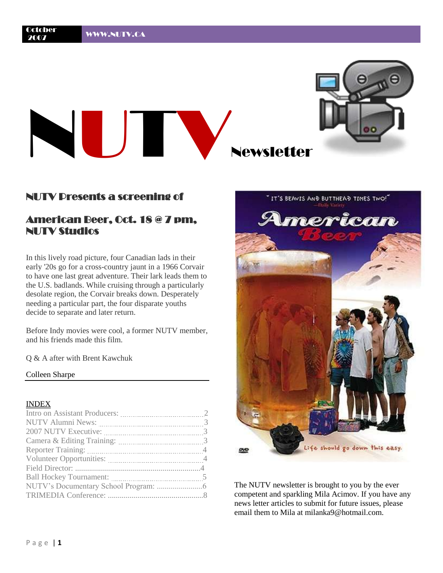

### NUTV Dresents a screening of

# American Beer, Oct. 18 @ 7 pm, NUTV Studios

In this lively road picture, four Canadian lads in their early '20s go for a cross-country jaunt in a 1966 Corvair to have one last great adventure. Their lark leads them to the U.S. badlands. While cruising through a particularly desolate region, the Corvair breaks down. Desperately needing a particular part, the four disparate youths decide to separate and later return.

Before Indy movies were cool, a former NUTV member, and his friends made this film.

Q & A after with Brent Kawchuk

#### Colleen Sharpe

#### INDEX

| Ball Hockey Tournament: 2003. [10] March 1988. [10] March 1988. [10] March 1988. [10] March 1988. [10] March 1988. [10] March 1988. [10] March 1988. [10] March 1988. [10] March 1988. [10] March 1988. [10] March 1988. [10] |  |
|-------------------------------------------------------------------------------------------------------------------------------------------------------------------------------------------------------------------------------|--|
|                                                                                                                                                                                                                               |  |
|                                                                                                                                                                                                                               |  |
|                                                                                                                                                                                                                               |  |



The NUTV newsletter is brought to you by the ever competent and sparkling Mila Acimov. If you have any news letter articles to submit for future issues, please email them to Mila at milanka9@hotmail.com.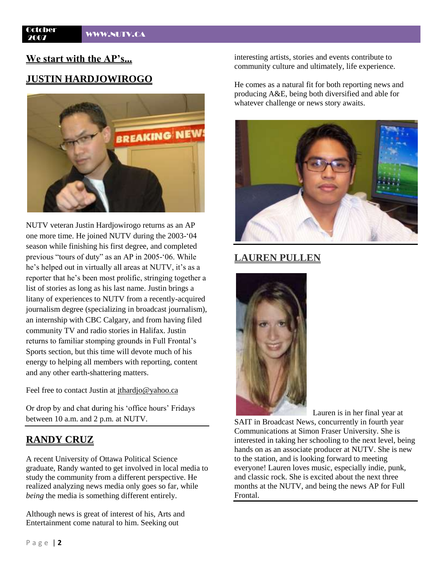# **We start with the AP's...**

## **JUSTIN HARDJOWIROGO**



NUTV veteran Justin Hardjowirogo returns as an AP one more time. He joined NUTV during the 2003-"04 season while finishing his first degree, and completed previous "tours of duty" as an AP in 2005-"06. While he's helped out in virtually all areas at NUTV, it's as a reporter that he"s been most prolific, stringing together a list of stories as long as his last name. Justin brings a litany of experiences to NUTV from a recently-acquired journalism degree (specializing in broadcast journalism), an internship with CBC Calgary, and from having filed community TV and radio stories in Halifax. Justin returns to familiar stomping grounds in Full Frontal"s Sports section, but this time will devote much of his energy to helping all members with reporting, content and any other earth-shattering matters.

Feel free to contact Justin at [jthardjo@yahoo.ca](mailto:jthardjo@yahoo.ca)

Or drop by and chat during his "office hours" Fridays between 10 a.m. and 2 p.m. at NUTV.

## **RANDY CRUZ**

A recent University of Ottawa Political Science graduate, Randy wanted to get involved in local media to study the community from a different perspective. He realized analyzing news media only goes so far, while *being* the media is something different entirely.

Although news is great of interest of his, Arts and Entertainment come natural to him. Seeking out

interesting artists, stories and events contribute to community culture and ultimately, life experience.

He comes as a natural fit for both reporting news and producing A&E, being both diversified and able for whatever challenge or news story awaits.



# **LAUREN PULLEN**



Lauren is in her final year at SAIT in Broadcast News, concurrently in fourth year Communications at Simon Fraser University. She is interested in taking her schooling to the next level, being hands on as an associate producer at NUTV. She is new to the station, and is looking forward to meeting everyone! Lauren loves music, especially indie, punk, and classic rock. She is excited about the next three months at the NUTV, and being the news AP for Full Frontal.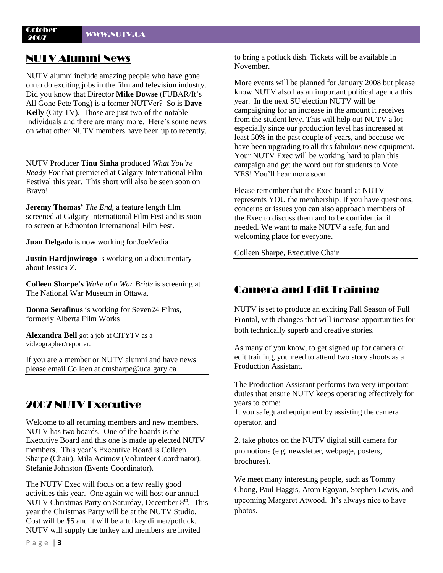# NUTV Alumni News

NUTV alumni include amazing people who have gone on to do exciting jobs in the film and television industry. Did you know that Director **Mike Dowse** (FUBAR/It"s All Gone Pete Tong) is a former NUTVer? So is **Dave Kelly** (City TV). Those are just two of the notable individuals and there are many more. Here's some news on what other NUTV members have been up to recently.

NUTV Producer **Tinu Sinha** produced *What You're Ready For* that premiered at Calgary International Film Festival this year. This short will also be seen soon on Bravo!

**Jeremy Thomas'** *The End*, a feature length film screened at Calgary International Film Fest and is soon to screen at Edmonton International Film Fest.

**Juan Delgado** is now working for JoeMedia

**Justin Hardjowirogo** is working on a documentary about Jessica Z.

**Colleen Sharpe's** *Wake of a War Bride* is screening at The National War Museum in Ottawa.

**Donna Serafinus** is working for Seven24 Films, formerly Alberta Film Works

**Alexandra Bell** got a job at CITYTV as a videographer/reporter.

If you are a member or NUTV alumni and have news please email Colleen at cmsharpe@ucalgary.ca

# 2007 NUTV Executive

Welcome to all returning members and new members. NUTV has two boards. One of the boards is the Executive Board and this one is made up elected NUTV members. This year's Executive Board is Colleen Sharpe (Chair), Mila Acimov (Volunteer Coordinator), Stefanie Johnston (Events Coordinator).

The NUTV Exec will focus on a few really good activities this year. One again we will host our annual NUTV Christmas Party on Saturday, December 8<sup>th</sup>. This year the Christmas Party will be at the NUTV Studio. Cost will be \$5 and it will be a turkey dinner/potluck. NUTV will supply the turkey and members are invited

to bring a potluck dish. Tickets will be available in November.

More events will be planned for January 2008 but please know NUTV also has an important political agenda this year. In the next SU election NUTV will be campaigning for an increase in the amount it receives from the student levy. This will help out NUTV a lot especially since our production level has increased at least 50% in the past couple of years, and because we have been upgrading to all this fabulous new equipment. Your NUTV Exec will be working hard to plan this campaign and get the word out for students to Vote YES! You"ll hear more soon.

Please remember that the Exec board at NUTV represents YOU the membership. If you have questions, concerns or issues you can also approach members of the Exec to discuss them and to be confidential if needed. We want to make NUTV a safe, fun and welcoming place for everyone.

Colleen Sharpe, Executive Chair

## Camera and Edit Training

NUTV is set to produce an exciting Fall Season of Full Frontal, with changes that will increase opportunities for both technically superb and creative stories.

As many of you know, to get signed up for camera or edit training, you need to attend two story shoots as a Production Assistant.

The Production Assistant performs two very important duties that ensure NUTV keeps operating effectively for years to come:

1. you safeguard equipment by assisting the camera operator, and

2. take photos on the NUTV digital still camera for promotions (e.g. newsletter, webpage, posters, brochures).

We meet many interesting people, such as Tommy Chong, Paul Haggis, Atom Egoyan, Stephen Lewis, and upcoming Margaret Atwood. It's always nice to have photos.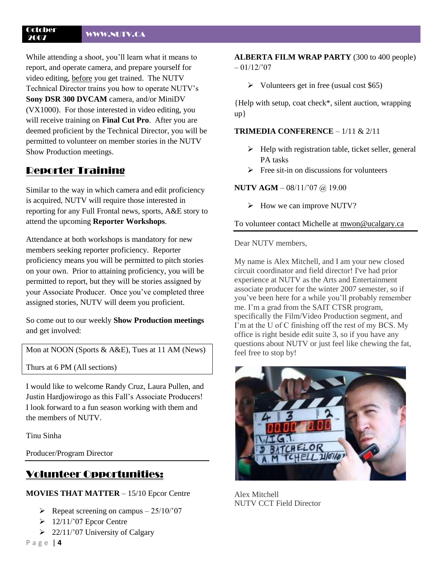#### October <sup>2007</sup> WWW.NUTV.CA

While attending a shoot, you"ll learn what it means to report, and operate camera, and prepare yourself for video editing, before you get trained. The NUTV Technical Director trains you how to operate NUTV"s **Sony DSR 300 DVCAM** camera, and/or MiniDV (VX1000). For those interested in video editing, you will receive training on **Final Cut Pro**. After you are deemed proficient by the Technical Director, you will be permitted to volunteer on member stories in the NUTV Show Production meetings.

## Reporter Training

Similar to the way in which camera and edit proficiency is acquired, NUTV will require those interested in reporting for any Full Frontal news, sports, A&E story to attend the upcoming **Reporter Workshops**.

Attendance at both workshops is mandatory for new members seeking reporter proficiency. Reporter proficiency means you will be permitted to pitch stories on your own. Prior to attaining proficiency, you will be permitted to report, but they will be stories assigned by your Associate Producer. Once you"ve completed three assigned stories, NUTV will deem you proficient.

So come out to our weekly **Show Production meetings**  and get involved:

Mon at NOON (Sports & A&E), Tues at 11 AM (News)

Thurs at 6 PM (All sections)

I would like to welcome Randy Cruz, Laura Pullen, and Justin Hardjowirogo as this Fall"s Associate Producers! I look forward to a fun season working with them and the members of NUTV.

Tinu Sinha

Producer/Program Director

# Volunteer Opportunities:

**MOVIES THAT MATTER** – 15/10 Epcor Centre

- P Repeat screening on campus  $-25/10/07$
- $\geq 12/11/807$  Epcor Centre
- $\geq$  22/11/'07 University of Calgary

P a g e | **4**

**ALBERTA FILM WRAP PARTY** (300 to 400 people)  $-01/12/207$ 

 $\triangleright$  Volunteers get in free (usual cost \$65)

{Help with setup, coat check\*, silent auction, wrapping up}

### **TRIMEDIA CONFERENCE** – 1/11 & 2/11

- $\blacktriangleright$  Help with registration table, ticket seller, general PA tasks
- $\triangleright$  Free sit-in on discussions for volunteers

#### **NUTV AGM** – 08/11/"07 @ 19.00

 $\triangleright$  How we can improve NUTV?

To volunteer contact Michelle at [mwon@ucalgary.ca](mailto:mwon@ucalgary.ca)

Dear NUTV members,

My name is Alex Mitchell, and I am your new closed circuit coordinator and field director! I've had prior experience at NUTV as the Arts and Entertainment associate producer for the winter 2007 semester, so if you"ve been here for a while you"ll probably remember me. I'm a grad from the SAIT CTSR program, specifically the Film/Video Production segment, and I'm at the U of C finishing off the rest of my BCS. My office is right beside edit suite 3, so if you have any questions about NUTV or just feel like chewing the fat, feel free to stop by!



Alex Mitchell NUTV CCT Field Director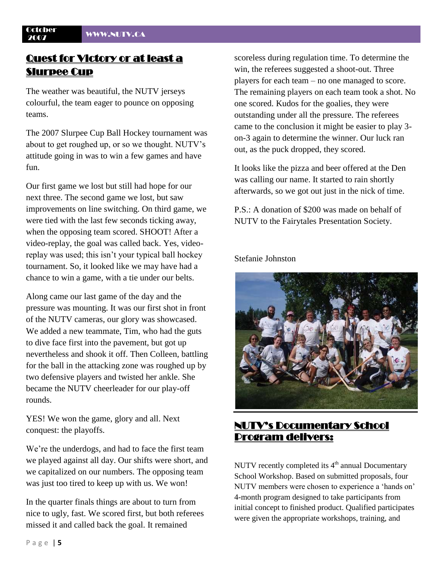October

# Quest for Victory or at least a Slurpee Cup

The weather was beautiful, the NUTV jerseys colourful, the team eager to pounce on opposing teams.

The 2007 Slurpee Cup Ball Hockey tournament was about to get roughed up, or so we thought. NUTV"s attitude going in was to win a few games and have fun.

Our first game we lost but still had hope for our next three. The second game we lost, but saw improvements on line switching. On third game, we were tied with the last few seconds ticking away, when the opposing team scored. SHOOT! After a video-replay, the goal was called back. Yes, videoreplay was used; this isn"t your typical ball hockey tournament. So, it looked like we may have had a chance to win a game, with a tie under our belts.

Along came our last game of the day and the pressure was mounting. It was our first shot in front of the NUTV cameras, our glory was showcased. We added a new teammate, Tim, who had the guts to dive face first into the pavement, but got up nevertheless and shook it off. Then Colleen, battling for the ball in the attacking zone was roughed up by two defensive players and twisted her ankle. She became the NUTV cheerleader for our play-off rounds.

YES! We won the game, glory and all. Next conquest: the playoffs.

We're the underdogs, and had to face the first team we played against all day. Our shifts were short, and we capitalized on our numbers. The opposing team was just too tired to keep up with us. We won!

In the quarter finals things are about to turn from nice to ugly, fast. We scored first, but both referees missed it and called back the goal. It remained

scoreless during regulation time. To determine the win, the referees suggested a shoot-out. Three players for each team – no one managed to score. The remaining players on each team took a shot. No one scored. Kudos for the goalies, they were outstanding under all the pressure. The referees came to the conclusion it might be easier to play 3 on-3 again to determine the winner. Our luck ran out, as the puck dropped, they scored.

It looks like the pizza and beer offered at the Den was calling our name. It started to rain shortly afterwards, so we got out just in the nick of time.

P.S.: A donation of \$200 was made on behalf of NUTV to the Fairytales Presentation Society.

Stefanie Johnston



# NUTV's Documentary School Program delivers:

NUTV recently completed its  $4<sup>th</sup>$  annual Documentary School Workshop. Based on submitted proposals, four NUTV members were chosen to experience a "hands on" 4-month program designed to take participants from initial concept to finished product. Qualified participates were given the appropriate workshops, training, and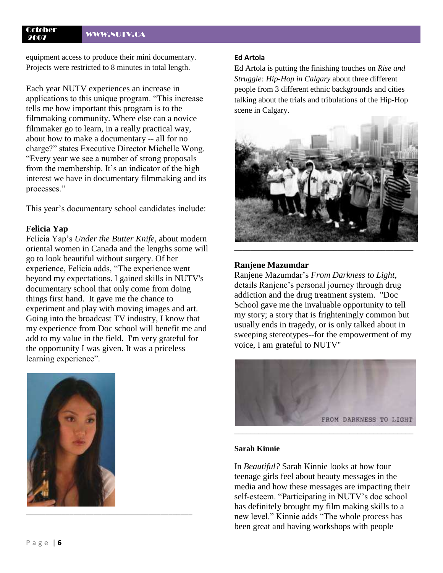#### October <sup>2007</sup> WWW.NUTV.CA

equipment access to produce their mini documentary. Projects were restricted to 8 minutes in total length.

Each year NUTV experiences an increase in applications to this unique program. "This increase tells me how important this program is to the filmmaking community. Where else can a novice filmmaker go to learn, in a really practical way, about how to make a documentary -- all for no charge?" states Executive Director Michelle Wong. "Every year we see a number of strong proposals from the membership. It's an indicator of the high interest we have in documentary filmmaking and its processes."

This year's documentary school candidates include:

#### **Felicia Yap**

Felicia Yap"s *Under the Butter Knife*, about modern oriental women in Canada and the lengths some will go to look beautiful without surgery. Of her experience, Felicia adds, "The experience went beyond my expectations. I gained skills in NUTV's documentary school that only come from doing things first hand. It gave me the chance to experiment and play with moving images and art. Going into the broadcast TV industry, I know that my experience from Doc school will benefit me and add to my value in the field. I'm very grateful for the opportunity I was given. It was a priceless learning experience".



#### **Ed Artola**

Ed Artola is putting the finishing touches on *Rise and Struggle: Hip-Hop in Calgary* about three different people from 3 different ethnic backgrounds and cities talking about the trials and tribulations of the Hip-Hop scene in Calgary.



#### **Ranjene Mazumdar**

Ranjene Mazumdar"s *From Darkness to Light*, details Ranjene"s personal journey through drug addiction and the drug treatment system. "Doc School gave me the invaluable opportunity to tell my story; a story that is frighteningly common but usually ends in tragedy, or is only talked about in sweeping stereotypes--for the empowerment of my voice, I am grateful to NUTV"



#### **Sarah Kinnie**

In *Beautiful?* Sarah Kinnie looks at how four teenage girls feel about beauty messages in the media and how these messages are impacting their self-esteem. "Participating in NUTV"s doc school has definitely brought my film making skills to a new level." Kinnie adds "The whole process has been great and having workshops with people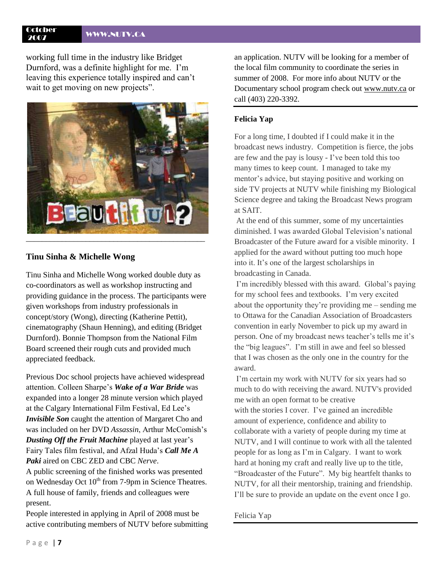# October

LUU<del>DEL WWW.NUTV.CA</del><br>2007

working full time in the industry like Bridget Durnford, was a definite highlight for me. I"m leaving this experience totally inspired and can"t wait to get moving on new projects".



### **Tinu Sinha & Michelle Wong**

Tinu Sinha and Michelle Wong worked double duty as co-coordinators as well as workshop instructing and providing guidance in the process. The participants were given workshops from industry professionals in concept/story (Wong), directing (Katherine Pettit), cinematography (Shaun Henning), and editing (Bridget Durnford). Bonnie Thompson from the National Film Board screened their rough cuts and provided much appreciated feedback.

Previous Doc school projects have achieved widespread attention. Colleen Sharpe"s *Wake of a War Bride* was expanded into a longer 28 minute version which played at the Calgary International Film Festival, Ed Lee"s *Invisible Son* caught the attention of Margaret Cho and was included on her DVD *Assassin*, Arthur McComish"s **Dusting Off the Fruit Machine** played at last year's Fairy Tales film festival, and Afzal Huda"s *Call Me A Paki* aired on CBC ZED and CBC *Nerve*.

A public screening of the finished works was presented on Wednesday Oct  $10<sup>th</sup>$  from 7-9pm in Science Theatres. A full house of family, friends and colleagues were present.

People interested in applying in April of 2008 must be active contributing members of NUTV before submitting

an application. NUTV will be looking for a member of the local film community to coordinate the series in summer of 2008. For more info about NUTV or the Documentary school program check out [www.nutv.ca](http://www.nutv.ca/) or call (403) 220-3392.

### **Felicia Yap**

For a long time, I doubted if I could make it in the broadcast news industry. Competition is fierce, the jobs are few and the pay is lousy - I"ve been told this too many times to keep count. I managed to take my mentor's advice, but staying positive and working on side TV projects at NUTV while finishing my Biological Science degree and taking the Broadcast News program at SAIT.

At the end of this summer, some of my uncertainties diminished. I was awarded Global Television"s national Broadcaster of the Future award for a visible minority. I applied for the award without putting too much hope into it. It"s one of the largest scholarships in broadcasting in Canada.

I'm incredibly blessed with this award. Global's paying for my school fees and textbooks. I"m very excited about the opportunity they"re providing me – sending me to Ottawa for the Canadian Association of Broadcasters convention in early November to pick up my award in person. One of my broadcast news teacher's tells me it's the "big leagues". I"m still in awe and feel so blessed that I was chosen as the only one in the country for the award.

I'm certain my work with NUTV for six years had so much to do with receiving the award. NUTV's provided me with an open format to be creative with the stories I cover. I've gained an incredible amount of experience, confidence and ability to collaborate with a variety of people during my time at NUTV, and I will continue to work with all the talented people for as long as I"m in Calgary. I want to work hard at honing my craft and really live up to the title, "Broadcaster of the Future". My big heartfelt thanks to NUTV, for all their mentorship, training and friendship. I"ll be sure to provide an update on the event once I go.

#### Felicia Yap